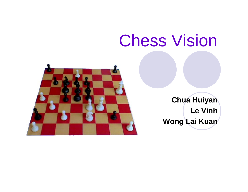# Chess Vision



**Chua Huiyan Le Vinh Wong Lai Kuan**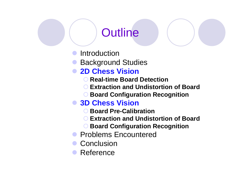## **Outline**

- $\bullet$ **Introduction**
- **Background Studies**

#### **• 2D Chess Vision**

- { **Real-time Board Detection**
- { **Extraction and Undistortion of Board**
- { **Board Configuration Recognition**

#### **• 3D Chess Vision**

- { **Board Pre-Calibration**
- { **Extraction and Undistortion of Board**
- { **Board Configuration Recognition**
- **Problems Encountered**
- **Conclusion**
- Reference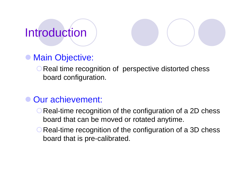# Introduction



#### $\bullet$ Main Objective:

**O Real time recognition of perspective distorted chess** board configuration.

#### • Our achievement:

- **O Real-time recognition of the configuration of a 2D chess** board that can be moved or rotated anytime.
- **O Real-time recognition of the configuration of a 3D chess** board that is pre-calibrated.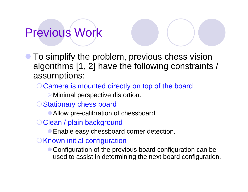# Previous Work

- $\bullet$  To simplify the problem, previous chess vision algorithms [1, 2] have the following constraints / assumptions:
	- Camera is mounted directly on top of the board
		- $\triangleright$  Minimal perspective distortion.
	- ◯ Stationary chess board
		- Allow pre-calibration of chessboard.
	- O Clean / plain background
		- **Enable easy chessboard corner detection.**
	- $\bigcirc$  Known initial configuration
		- Configuration of the previous board configuration can be used to assist in determining the next board configuration.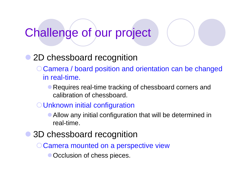# Challenge of our project

#### $\bullet$ 2D chessboard recognition

- {Camera / board position and orientation can be changed in real-time.
	- Requires real-time tracking of chessboard corners and calibration of chessboard.
- {Unknown initial configuration
	- Allow any initial configuration that will be determined in real-time.
- $\bullet$  3D chessboard recognition
	- {Camera mounted on a perspective view
		- Occlusion of chess pieces.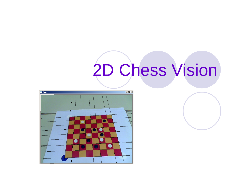# 2D Chess Vision

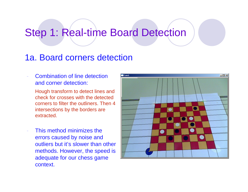### Step 1: Real-time Board Detection

#### 1a. Board corners detection

 Combination of line detection and corner detection:

Hough transform to detect lines and check for crosses with the detected corners to filter the outliners. Then 4 intersections by the borders are extracted.

 This method minimizes the errors caused by noise and outliers but it's slower than other methods. However, the speed is adequate for our chess game context.

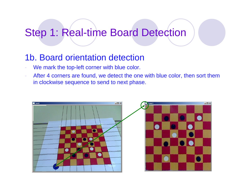### Step 1: Real-time Board Detection

#### 1b. Board orientation detection

- We mark the top-left corner with blue color.
- - After 4 corners are found, we detect the one with blue color, then sort them in clockwise sequence to send to next phase.

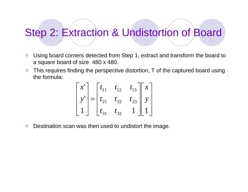### Step 2: Extraction & Undistortion of Board

- **z**  Using board corners detected from Step 1, extract and transform the board to a square board of size 480 x 480.
- **z**  This requires finding the perspective distortion, T of the captured board using the formula:

$$
\begin{bmatrix} x' \\ y' \\ 1 \end{bmatrix} = \begin{bmatrix} t_{11} & t_{12} & t_{13} \\ t_{21} & t_{22} & t_{23} \\ t_{31} & t_{32} & 1 \end{bmatrix} \begin{bmatrix} x \\ y \\ 1 \end{bmatrix}
$$

 $\bullet$ Destination scan was then used to undistort the image.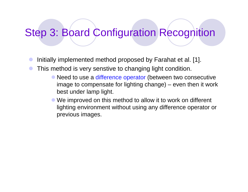- $\bullet$ Initially implemented method proposed by Farahat et al. [1].
- This method is very senstive to changing light condition.
	- Need to use a difference operator (between two consecutive image to compensate for lighting change) – even then it work best under lamp light.
	- We improved on this method to allow it to work on different lighting environment without using any difference operator or previous images.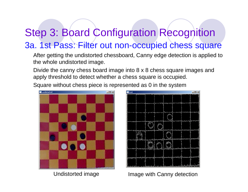#### 3a. 1st Pass: Filter out non-occupied chess square

After getting the undistorted chessboard, Canny edge detection is applied to the whole undistorted image.

Divide the canny chess board image into 8 x 8 chess square images and apply threshold to detect whether a chess square is occupied.

Square without chess piece is represented as 0 in the system





Undistorted image **Image with Canny detection**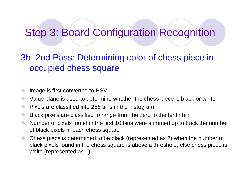3b. 2nd Pass: Determining color of chess piece in occupied chess square

- $\bullet$ Image is first converted to HSV
- $\bullet$ Value plane is used to determine whether the chess piece is black or white
- $\bullet$ Pixels are classified into 256 bins in the histogram
- $\bullet$ Black pixels are classified to range from the zero to the tenth bin
- $\bullet$  Number of pixels found in the first 10 bins were summed up to track the number of black pixels in each chess square
- $\bullet$  Chess piece is determined to be black (represented as 2) when the number of black pixels found in the chess square is above a threshold, else chess piece is white (represented as 1)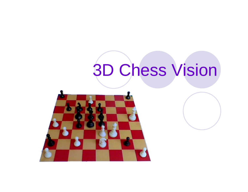# 3D Chess Vision

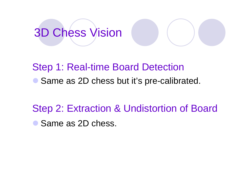# 3D Chess Vision



Step 1: Real-time Board Detection • Same as 2D chess but it's pre-calibrated.

Step 2: Extraction & Undistortion of Board • Same as 2D chess.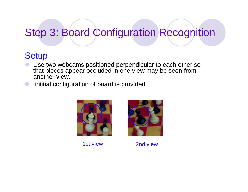#### **Setup**

- $\bullet$  Use two webcams positioned perpendicular to each other so that pieces appear occluded in one view may be seen from another view.
- Inititial configuration of board is provided.



1st view



2nd view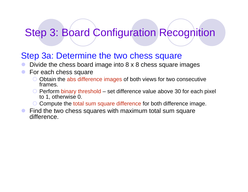#### Step 3a: Determine the two chess square

- $\bullet$ Divide the chess board image into 8 x 8 chess square images
- $\bullet$  For each chess square
	- O Obtain the abs difference images of both views for two consecutive frames.
	- $\circ$  Perform binary threshold set difference value above 30 for each pixel to 1, otherwise 0.
	- { Compute the total sum square difference for both difference image.
- $\bullet$  Find the two chess squares with maximum total sum square difference.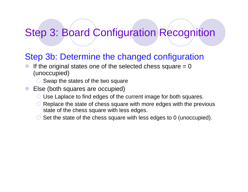#### Step 3b: Determine the changed configuration

- $\bullet$ If the original states one of the selected chess square  $= 0$ (unoccupied)
	- $\circ$  Swap the states of the two square

#### $\bullet$ Else (both squares are occupied)

- { Use Laplace to find edges of the current image for both squares.
- $\bullet$  Replace the state of chess square with more edges with the previous state of the chess square with less edges.
- Set the state of the chess square with less edges to 0 (unoccupied).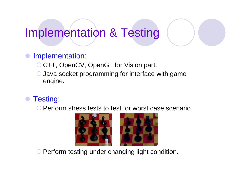## Implementation & Testing

#### $\bullet$ Implementation:

- { C++, OpenCV, OpenGL for Vision part.
- $\bigcirc$  Java socket programming for interface with game engine.

#### $\bullet$ Testing:

**O Perform stress tests to test for worst case scenario.** 



**O Perform testing under changing light condition.**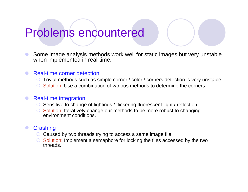### Problems encountered

 $\bullet$  Some image analysis methods work well for static images but very unstable when implemented in real-time.

#### $\bullet$ Real-time corner detection

- ${\color{black} \bigcirc}$ Trivial methods such as simple corner / color / corners detection is very unstable.
- { Solution: Use a combination of various methods to determine the corners.

#### $\bullet$ Real-time integration

- Sensitive to change of lightings / flickering fluorescent light / reflection.
- $\circ$  Solution: Iteratively change our methods to be more robust to changing environment conditions.

#### $\bullet$ **Crashing**

- ${\color{black} \bigcirc}$ Caused by two threads trying to access a same image file.
- { Solution: Implement a semaphore for locking the files accessed by the two threads.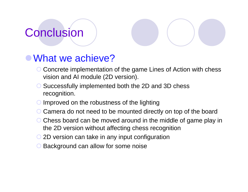# **Conclusion**

### • What we achieve?

- { Concrete implementation of the game Lines of Action with chess vision and AI module (2D version).
- { Successfully implemented both the 2D and 3D chess recognition.
- ${\color{black} \bigcirc}$ Improved on the robustness of the lighting
- ${\color{black} \bigcirc}$ Camera do not need to be mounted directly on top of the board
- { Chess board can be moved around in the middle of game play in the 2D version without affecting chess recognition
- O 2D version can take in any input configuration
- **O Background can allow for some noise**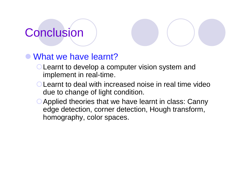# **Conclusion**

#### • What we have learnt?

- **OLearnt to develop a computer vision system and** implement in real-time.
- {Learnt to deal with increased noise in real time video due to change of light condition.
- Applied theories that we have learnt in class: Canny edge detection, corner detection, Hough transform, homography, color spaces.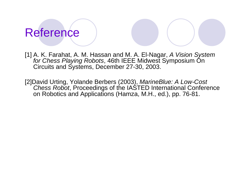# Reference

[1] A. K. Farahat, A. M. Hassan and M. A. El-Nagar, *A Vision System for Chess Playing Robots*, 46th IEEE Midwest Symposium On Circuits and Systems, December 27-30, 2003.

[2]David Urting, Yolande Berbers (2003), *MarineBlue: A Low-Cost Chess Robot*, Proceedings of the IASTED International Conference on Robotics and Applications (Hamza, M.H., ed.), pp. 76-81.